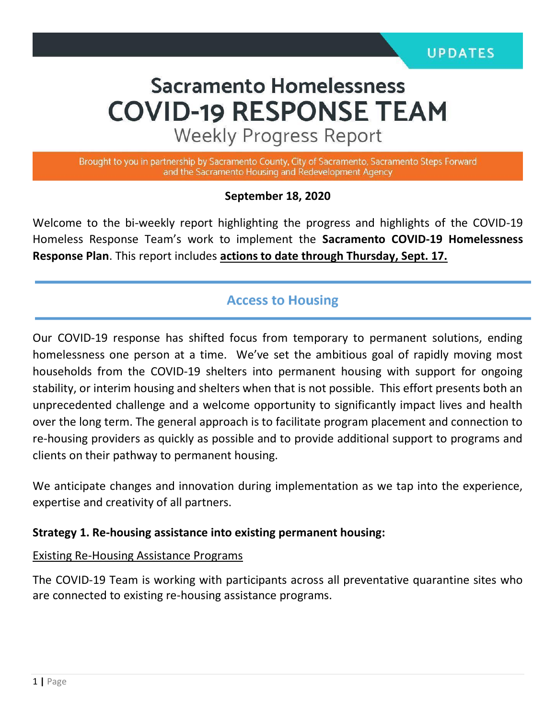# **Sacramento Homelessness COVID-19 RESPONSE TEAM**

**Weekly Progress Report** 

Brought to you in partnership by Sacramento County, City of Sacramento, Sacramento Steps Forward and the Sacramento Housing and Redevelopment Agency

#### **September 18, 2020**

Welcome to the bi-weekly report highlighting the progress and highlights of the COVID-19 Homeless Response Team's work to implement the **Sacramento COVID-19 Homelessness Response Plan**. This report includes **actions to date through Thursday, Sept. 17.** 

## **Access to Housing**

Our COVID-19 response has shifted focus from temporary to permanent solutions, ending homelessness one person at a time. We've set the ambitious goal of rapidly moving most households from the COVID-19 shelters into permanent housing with support for ongoing stability, or interim housing and shelters when that is not possible. This effort presents both an unprecedented challenge and a welcome opportunity to significantly impact lives and health over the long term. The general approach is to facilitate program placement and connection to re-housing providers as quickly as possible and to provide additional support to programs and clients on their pathway to permanent housing.

We anticipate changes and innovation during implementation as we tap into the experience, expertise and creativity of all partners.

#### **Strategy 1. Re-housing assistance into existing permanent housing:**

#### Existing Re-Housing Assistance Programs

The COVID-19 Team is working with participants across all preventative quarantine sites who are connected to existing re-housing assistance programs.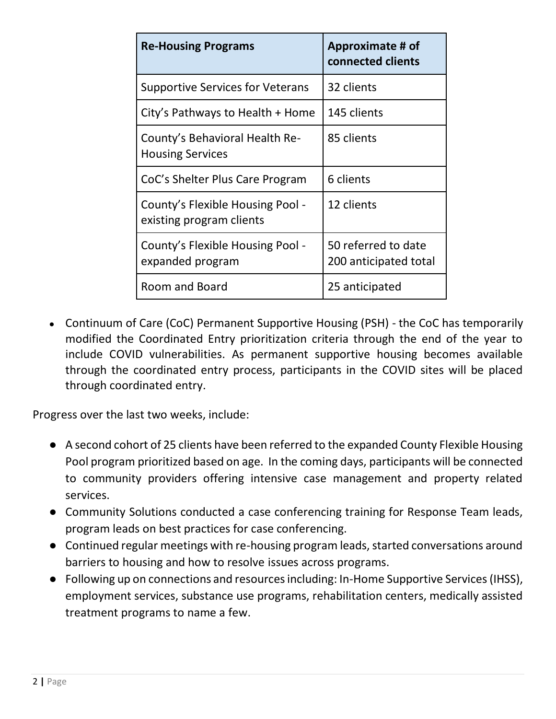| <b>Re-Housing Programs</b>                                   | Approximate # of<br>connected clients        |
|--------------------------------------------------------------|----------------------------------------------|
| <b>Supportive Services for Veterans</b>                      | 32 clients                                   |
| City's Pathways to Health + Home                             | 145 clients                                  |
| County's Behavioral Health Re-<br><b>Housing Services</b>    | 85 clients                                   |
| CoC's Shelter Plus Care Program                              | 6 clients                                    |
| County's Flexible Housing Pool -<br>existing program clients | 12 clients                                   |
| County's Flexible Housing Pool -<br>expanded program         | 50 referred to date<br>200 anticipated total |
| Room and Board                                               | 25 anticipated                               |

• Continuum of Care (CoC) Permanent Supportive Housing (PSH) - the CoC has temporarily modified the Coordinated Entry prioritization criteria through the end of the year to include COVID vulnerabilities. As permanent supportive housing becomes available through the coordinated entry process, participants in the COVID sites will be placed through coordinated entry.

Progress over the last two weeks, include:

- A second cohort of 25 clients have been referred to the expanded County Flexible Housing Pool program prioritized based on age. In the coming days, participants will be connected to community providers offering intensive case management and property related services.
- Community Solutions conducted a case conferencing training for Response Team leads, program leads on best practices for case conferencing.
- Continued regular meetings with re-housing program leads, started conversations around barriers to housing and how to resolve issues across programs.
- Following up on connections and resources including: In-Home Supportive Services (IHSS), employment services, substance use programs, rehabilitation centers, medically assisted treatment programs to name a few.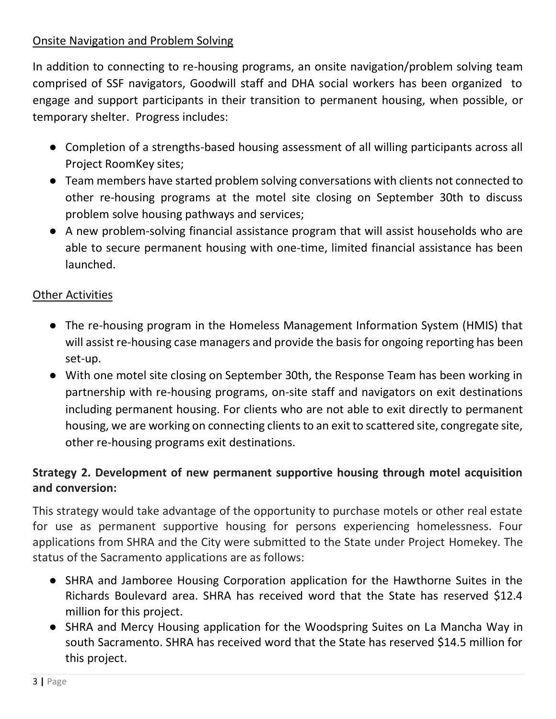### Onsite Navigation and Problem Solving

In addition to connecting to re-housing programs, an onsite navigation/problem solving team comprised of SSF navigators, Goodwill staff and DHA social workers has been organized to engage and support participants in their transition to permanent housing, when possible, or temporary shelter. Progress includes:

- Completion of a strengths-based housing assessment of all willing participants across all Project RoomKey sites;
- Team members have started problem solving conversations with clients not connected to other re-housing programs at the motel site closing on September 30th to discuss problem solve housing pathways and services;
- A new problem-solving financial assistance program that will assist households who are able to secure permanent housing with one-time, limited financial assistance has been launched.

### Other Activities

- The re-housing program in the Homeless Management Information System (HMIS) that will assist re-housing case managers and provide the basis for ongoing reporting has been set-up.
- With one motel site closing on September 30th, the Response Team has been working in partnership with re-housing programs, on-site staff and navigators on exit destinations including permanent housing. For clients who are not able to exit directly to permanent housing, we are working on connecting clients to an exit to scattered site, congregate site, other re-housing programs exit destinations.

## **Strategy 2. Development of new permanent supportive housing through motel acquisition and conversion:**

This strategy would take advantage of the opportunity to purchase motels or other real estate for use as permanent supportive housing for persons experiencing homelessness. Four applications from SHRA and the City were submitted to the State under Project Homekey. The status of the Sacramento applications are as follows:

- SHRA and Jamboree Housing Corporation application for the Hawthorne Suites in the Richards Boulevard area. SHRA has received word that the State has reserved \$12.4 million for this project.
- SHRA and Mercy Housing application for the Woodspring Suites on La Mancha Way in south Sacramento. SHRA has received word that the State has reserved \$14.5 million for this project.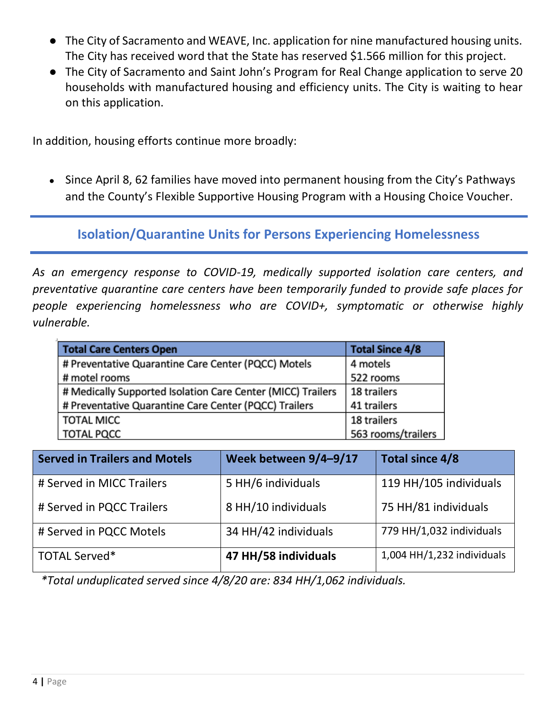- The City of Sacramento and WEAVE, Inc. application for nine manufactured housing units. The City has received word that the State has reserved \$1.566 million for this project.
- The City of Sacramento and Saint John's Program for Real Change application to serve 20 households with manufactured housing and efficiency units. The City is waiting to hear on this application.

In addition, housing efforts continue more broadly:

• Since April 8, 62 families have moved into permanent housing from the City's Pathways and the County's Flexible Supportive Housing Program with a Housing Choice Voucher.

## **Isolation/Quarantine Units for Persons Experiencing Homelessness**

*As an emergency response to COVID-19, medically supported isolation care centers, and preventative quarantine care centers have been temporarily funded to provide safe places for people experiencing homelessness who are COVID+, symptomatic or otherwise highly vulnerable.*

| <b>Total Care Centers Open</b>                              | <b>Total Since 4/8</b> |
|-------------------------------------------------------------|------------------------|
| # Preventative Quarantine Care Center (PQCC) Motels         | 4 motels               |
| # motel rooms                                               | 522 rooms              |
| # Medically Supported Isolation Care Center (MICC) Trailers | 18 trailers            |
| # Preventative Quarantine Care Center (PQCC) Trailers       | 41 trailers            |
| <b>TOTAL MICC</b>                                           | 18 trailers            |
| <b>TOTAL PQCC</b>                                           | 563 rooms/trailers     |

| <b>Served in Trailers and Motels</b> | Week between 9/4-9/17 | Total since 4/8            |
|--------------------------------------|-----------------------|----------------------------|
| # Served in MICC Trailers            | 5 HH/6 individuals    | 119 HH/105 individuals     |
| # Served in PQCC Trailers            | 8 HH/10 individuals   | 75 HH/81 individuals       |
| # Served in PQCC Motels              | 34 HH/42 individuals  | 779 HH/1,032 individuals   |
| <b>TOTAL Served*</b>                 | 47 HH/58 individuals  | 1,004 HH/1,232 individuals |

*\*Total unduplicated served since 4/8/20 are: 834 HH/1,062 individuals.*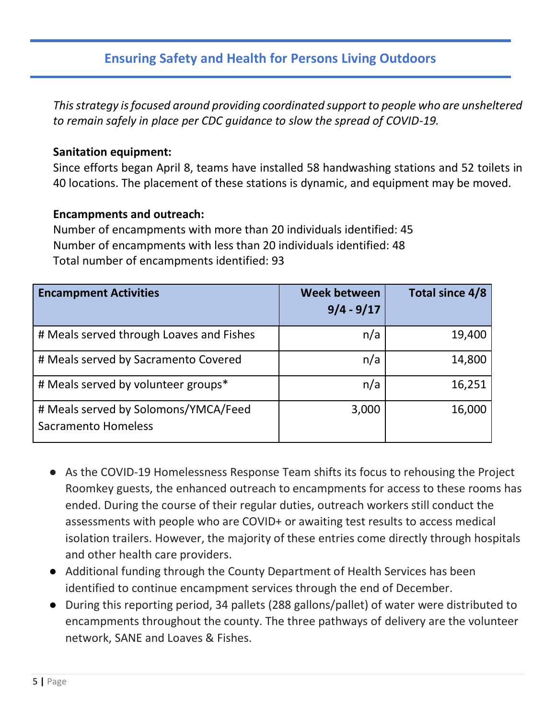## **Ensuring Safety and Health for Persons Living Outdoors**

*This strategy is focused around providing coordinated support to people who are unsheltered to remain safely in place per CDC guidance to slow the spread of COVID-19.*

#### **Sanitation equipment:**

Since efforts began April 8, teams have installed 58 handwashing stations and 52 toilets in 40 locations. The placement of these stations is dynamic, and equipment may be moved.

#### **Encampments and outreach:**

Number of encampments with more than 20 individuals identified: 45 Number of encampments with less than 20 individuals identified: 48 Total number of encampments identified: 93

| <b>Encampment Activities</b>                                       | <b>Week between</b><br>$9/4 - 9/17$ | Total since 4/8 |
|--------------------------------------------------------------------|-------------------------------------|-----------------|
| # Meals served through Loaves and Fishes                           | n/a                                 | 19,400          |
| # Meals served by Sacramento Covered                               | n/a                                 | 14,800          |
| # Meals served by volunteer groups*                                | n/a                                 | 16,251          |
| # Meals served by Solomons/YMCA/Feed<br><b>Sacramento Homeless</b> | 3,000                               | 16,000          |

- As the COVID-19 Homelessness Response Team shifts its focus to rehousing the Project Roomkey guests, the enhanced outreach to encampments for access to these rooms has ended. During the course of their regular duties, outreach workers still conduct the assessments with people who are COVID+ or awaiting test results to access medical isolation trailers. However, the majority of these entries come directly through hospitals and other health care providers.
- Additional funding through the County Department of Health Services has been identified to continue encampment services through the end of December.
- During this reporting period, 34 pallets (288 gallons/pallet) of water were distributed to encampments throughout the county. The three pathways of delivery are the volunteer network, SANE and Loaves & Fishes.